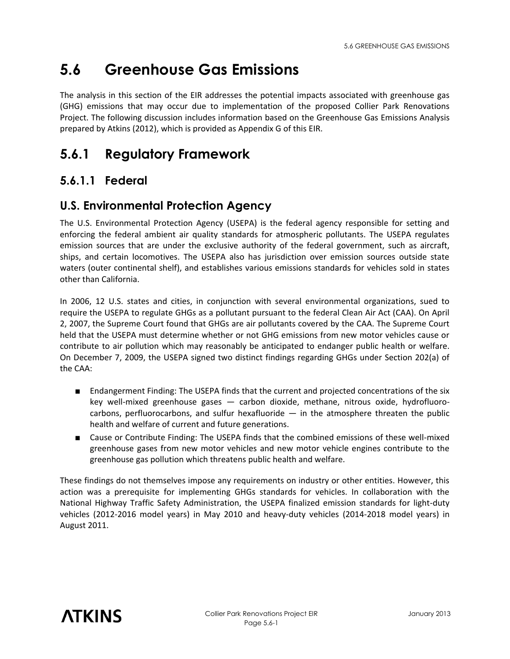# **5.6 Greenhouse Gas Emissions**

The analysis in this section of the EIR addresses the potential impacts associated with greenhouse gas (GHG) emissions that may occur due to implementation of the proposed Collier Park Renovations Project. The following discussion includes information based on the Greenhouse Gas Emissions Analysis prepared by Atkins (2012), which is provided as Appendix G of this EIR.

## **5.6.1 Regulatory Framework**

#### **5.6.1.1 Federal**

#### **U.S. Environmental Protection Agency**

The U.S. Environmental Protection Agency (USEPA) is the federal agency responsible for setting and enforcing the federal ambient air quality standards for atmospheric pollutants. The USEPA regulates emission sources that are under the exclusive authority of the federal government, such as aircraft, ships, and certain locomotives. The USEPA also has jurisdiction over emission sources outside state waters (outer continental shelf), and establishes various emissions standards for vehicles sold in states other than California.

In 2006, 12 U.S. states and cities, in conjunction with several environmental organizations, sued to require the USEPA to regulate GHGs as a pollutant pursuant to the federal Clean Air Act (CAA). On April 2, 2007, the Supreme Court found that GHGs are air pollutants covered by the CAA. The Supreme Court held that the USEPA must determine whether or not GHG emissions from new motor vehicles cause or contribute to air pollution which may reasonably be anticipated to endanger public health or welfare. On December 7, 2009, the USEPA signed two distinct findings regarding GHGs under Section 202(a) of the CAA:

- Endangerment Finding: The USEPA finds that the current and projected concentrations of the six key well-mixed greenhouse gases — carbon dioxide, methane, nitrous oxide, hydrofluorocarbons, perfluorocarbons, and sulfur hexafluoride — in the atmosphere threaten the public health and welfare of current and future generations.
- Cause or Contribute Finding: The USEPA finds that the combined emissions of these well-mixed greenhouse gases from new motor vehicles and new motor vehicle engines contribute to the greenhouse gas pollution which threatens public health and welfare.

These findings do not themselves impose any requirements on industry or other entities. However, this action was a prerequisite for implementing GHGs standards for vehicles. In collaboration with the National Highway Traffic Safety Administration, the USEPA finalized emission standards for light-duty vehicles (2012-2016 model years) in May 2010 and heavy-duty vehicles (2014-2018 model years) in August 2011.

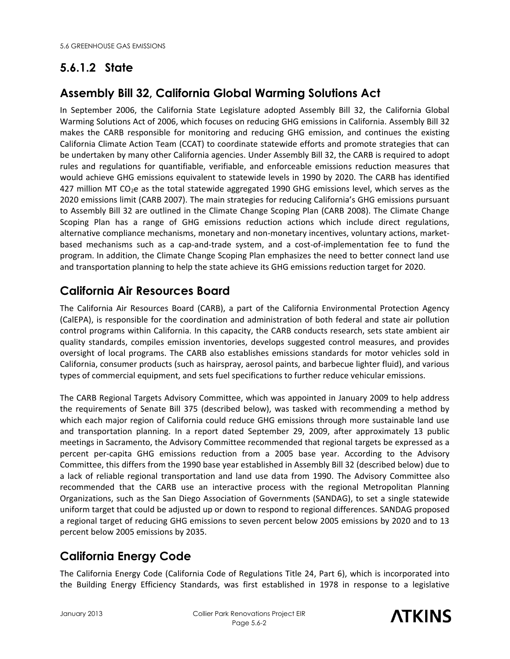## **5.6.1.2 State**

#### **Assembly Bill 32, California Global Warming Solutions Act**

In September 2006, the California State Legislature adopted Assembly Bill 32, the California Global Warming Solutions Act of 2006, which focuses on reducing GHG emissions in California. Assembly Bill 32 makes the CARB responsible for monitoring and reducing GHG emission, and continues the existing California Climate Action Team (CCAT) to coordinate statewide efforts and promote strategies that can be undertaken by many other California agencies. Under Assembly Bill 32, the CARB is required to adopt rules and regulations for quantifiable, verifiable, and enforceable emissions reduction measures that would achieve GHG emissions equivalent to statewide levels in 1990 by 2020. The CARB has identified 427 million MT CO<sub>2</sub>e as the total statewide aggregated 1990 GHG emissions level, which serves as the 2020 emissions limit (CARB 2007). The main strategies for reducing California's GHG emissions pursuant to Assembly Bill 32 are outlined in the Climate Change Scoping Plan (CARB 2008). The Climate Change Scoping Plan has a range of GHG emissions reduction actions which include direct regulations, alternative compliance mechanisms, monetary and non-monetary incentives, voluntary actions, marketbased mechanisms such as a cap-and-trade system, and a cost-of-implementation fee to fund the program. In addition, the Climate Change Scoping Plan emphasizes the need to better connect land use and transportation planning to help the state achieve its GHG emissions reduction target for 2020.

#### **California Air Resources Board**

The California Air Resources Board (CARB), a part of the California Environmental Protection Agency (CalEPA), is responsible for the coordination and administration of both federal and state air pollution control programs within California. In this capacity, the CARB conducts research, sets state ambient air quality standards, compiles emission inventories, develops suggested control measures, and provides oversight of local programs. The CARB also establishes emissions standards for motor vehicles sold in California, consumer products (such as hairspray, aerosol paints, and barbecue lighter fluid), and various types of commercial equipment, and sets fuel specifications to further reduce vehicular emissions.

The CARB Regional Targets Advisory Committee, which was appointed in January 2009 to help address the requirements of Senate Bill 375 (described below), was tasked with recommending a method by which each major region of California could reduce GHG emissions through more sustainable land use and transportation planning. In a report dated September 29, 2009, after approximately 13 public meetings in Sacramento, the Advisory Committee recommended that regional targets be expressed as a percent per-capita GHG emissions reduction from a 2005 base year. According to the Advisory Committee, this differs from the 1990 base year established in Assembly Bill 32 (described below) due to a lack of reliable regional transportation and land use data from 1990. The Advisory Committee also recommended that the CARB use an interactive process with the regional Metropolitan Planning Organizations, such as the San Diego Association of Governments (SANDAG), to set a single statewide uniform target that could be adjusted up or down to respond to regional differences. SANDAG proposed a regional target of reducing GHG emissions to seven percent below 2005 emissions by 2020 and to 13 percent below 2005 emissions by 2035.

## **California Energy Code**

The California Energy Code (California Code of Regulations Title 24, Part 6), which is incorporated into the Building Energy Efficiency Standards, was first established in 1978 in response to a legislative

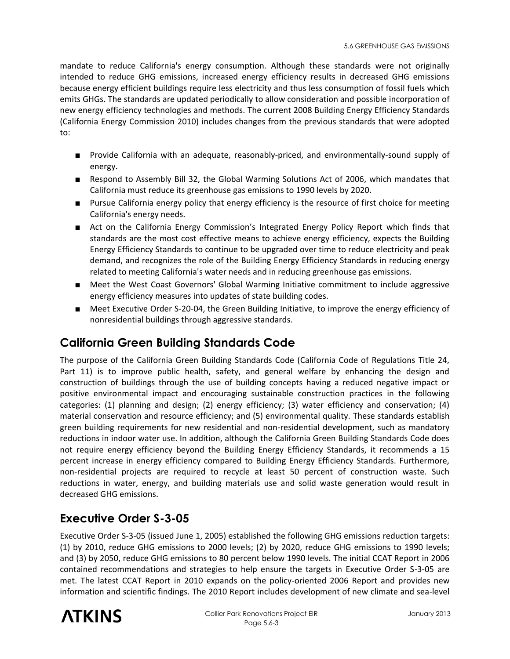mandate to reduce California's energy consumption. Although these standards were not originally intended to reduce GHG emissions, increased energy efficiency results in decreased GHG emissions because energy efficient buildings require less electricity and thus less consumption of fossil fuels which emits GHGs. The standards are updated periodically to allow consideration and possible incorporation of new energy efficiency technologies and methods. The current 2008 Building Energy Efficiency Standards (California Energy Commission 2010) includes changes from the previous standards that were adopted to:

- Provide California with an adequate, reasonably-priced, and environmentally-sound supply of energy.
- Respond to Assembly Bill 32, the Global Warming Solutions Act of 2006, which mandates that California must reduce its greenhouse gas emissions to 1990 levels by 2020.
- Pursue California energy policy that energy efficiency is the resource of first choice for meeting California's energy needs.
- Act on the California Energy Commission's Integrated Energy Policy Report which finds that standards are the most cost effective means to achieve energy efficiency, expects the Building Energy Efficiency Standards to continue to be upgraded over time to reduce electricity and peak demand, and recognizes the role of the Building Energy Efficiency Standards in reducing energy related to meeting California's water needs and in reducing greenhouse gas emissions.
- Meet the West Coast Governors' Global Warming Initiative commitment to include aggressive energy efficiency measures into updates of state building codes.
- Meet Executive Order S-20-04, the Green Building Initiative, to improve the energy efficiency of nonresidential buildings through aggressive standards.

#### **California Green Building Standards Code**

The purpose of the California Green Building Standards Code (California Code of Regulations Title 24, Part 11) is to improve public health, safety, and general welfare by enhancing the design and construction of buildings through the use of building concepts having a reduced negative impact or positive environmental impact and encouraging sustainable construction practices in the following categories: (1) planning and design; (2) energy efficiency; (3) water efficiency and conservation; (4) material conservation and resource efficiency; and (5) environmental quality. These standards establish green building requirements for new residential and non-residential development, such as mandatory reductions in indoor water use. In addition, although the California Green Building Standards Code does not require energy efficiency beyond the Building Energy Efficiency Standards, it recommends a 15 percent increase in energy efficiency compared to Building Energy Efficiency Standards. Furthermore, non-residential projects are required to recycle at least 50 percent of construction waste. Such reductions in water, energy, and building materials use and solid waste generation would result in decreased GHG emissions.

#### **Executive Order S-3-05**

Executive Order S-3-05 (issued June 1, 2005) established the following GHG emissions reduction targets: (1) by 2010, reduce GHG emissions to 2000 levels; (2) by 2020, reduce GHG emissions to 1990 levels; and (3) by 2050, reduce GHG emissions to 80 percent below 1990 levels. The initial CCAT Report in 2006 contained recommendations and strategies to help ensure the targets in Executive Order S-3-05 are met. The latest CCAT Report in 2010 expands on the policy-oriented 2006 Report and provides new information and scientific findings. The 2010 Report includes development of new climate and sea-level

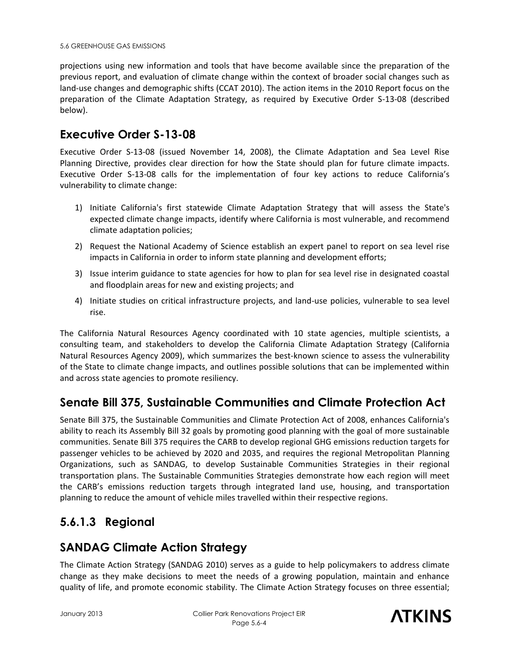projections using new information and tools that have become available since the preparation of the previous report, and evaluation of climate change within the context of broader social changes such as land-use changes and demographic shifts (CCAT 2010). The action items in the 2010 Report focus on the preparation of the Climate Adaptation Strategy, as required by Executive Order S-13-08 (described below).

#### **Executive Order S-13-08**

Executive Order S-13-08 (issued November 14, 2008), the Climate Adaptation and Sea Level Rise Planning Directive, provides clear direction for how the State should plan for future climate impacts. Executive Order S-13-08 calls for the implementation of four key actions to reduce California's vulnerability to climate change:

- 1) Initiate California's first statewide Climate Adaptation Strategy that will assess the State's expected climate change impacts, identify where California is most vulnerable, and recommend climate adaptation policies;
- 2) Request the National Academy of Science establish an expert panel to report on sea level rise impacts in California in order to inform state planning and development efforts;
- 3) Issue interim guidance to state agencies for how to plan for sea level rise in designated coastal and floodplain areas for new and existing projects; and
- 4) Initiate studies on critical infrastructure projects, and land-use policies, vulnerable to sea level rise.

The California Natural Resources Agency coordinated with 10 state agencies, multiple scientists, a consulting team, and stakeholders to develop the California Climate Adaptation Strategy (California Natural Resources Agency 2009), which summarizes the best-known science to assess the vulnerability of the State to climate change impacts, and outlines possible solutions that can be implemented within and across state agencies to promote resiliency.

#### **Senate Bill 375, Sustainable Communities and Climate Protection Act**

Senate Bill 375, the Sustainable Communities and Climate Protection Act of 2008, enhances California's ability to reach its Assembly Bill 32 goals by promoting good planning with the goal of more sustainable communities. Senate Bill 375 requires the CARB to develop regional GHG emissions reduction targets for passenger vehicles to be achieved by 2020 and 2035, and requires the regional Metropolitan Planning Organizations, such as SANDAG, to develop Sustainable Communities Strategies in their regional transportation plans. The Sustainable Communities Strategies demonstrate how each region will meet the CARB's emissions reduction targets through integrated land use, housing, and transportation planning to reduce the amount of vehicle miles travelled within their respective regions.

#### **5.6.1.3 Regional**

#### **SANDAG Climate Action Strategy**

The Climate Action Strategy (SANDAG 2010) serves as a guide to help policymakers to address climate change as they make decisions to meet the needs of a growing population, maintain and enhance quality of life, and promote economic stability. The Climate Action Strategy focuses on three essential;

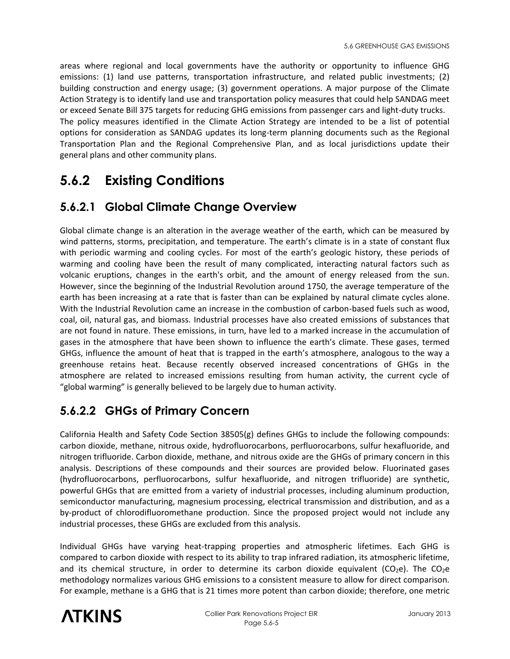areas where regional and local governments have the authority or opportunity to influence GHG emissions: (1) land use patterns, transportation infrastructure, and related public investments; (2) building construction and energy usage; (3) government operations. A major purpose of the Climate Action Strategy is to identify land use and transportation policy measures that could help SANDAG meet or exceed Senate Bill 375 targets for reducing GHG emissions from passenger cars and light-duty trucks. The policy measures identified in the Climate Action Strategy are intended to be a list of potential options for consideration as SANDAG updates its long-term planning documents such as the Regional Transportation Plan and the Regional Comprehensive Plan, and as local jurisdictions update their general plans and other community plans.

## **5.6.2 Existing Conditions**

#### **5.6.2.1 Global Climate Change Overview**

Global climate change is an alteration in the average weather of the earth, which can be measured by wind patterns, storms, precipitation, and temperature. The earth's climate is in a state of constant flux with periodic warming and cooling cycles. For most of the earth's geologic history, these periods of warming and cooling have been the result of many complicated, interacting natural factors such as volcanic eruptions, changes in the earth's orbit, and the amount of energy released from the sun. However, since the beginning of the Industrial Revolution around 1750, the average temperature of the earth has been increasing at a rate that is faster than can be explained by natural climate cycles alone. With the Industrial Revolution came an increase in the combustion of carbon-based fuels such as wood, coal, oil, natural gas, and biomass. Industrial processes have also created emissions of substances that are not found in nature. These emissions, in turn, have led to a marked increase in the accumulation of gases in the atmosphere that have been shown to influence the earth's climate. These gases, termed GHGs, influence the amount of heat that is trapped in the earth's atmosphere, analogous to the way a greenhouse retains heat. Because recently observed increased concentrations of GHGs in the atmosphere are related to increased emissions resulting from human activity, the current cycle of "global warming" is generally believed to be largely due to human activity.

## **5.6.2.2 GHGs of Primary Concern**

California Health and Safety Code Section 38505(g) defines GHGs to include the following compounds: carbon dioxide, methane, nitrous oxide, hydrofluorocarbons, perfluorocarbons, sulfur hexafluoride, and nitrogen trifluoride. Carbon dioxide, methane, and nitrous oxide are the GHGs of primary concern in this analysis. Descriptions of these compounds and their sources are provided below. Fluorinated gases (hydrofluorocarbons, perfluorocarbons, sulfur hexafluoride, and nitrogen trifluoride) are synthetic, powerful GHGs that are emitted from a variety of industrial processes, including aluminum production, semiconductor manufacturing, magnesium processing, electrical transmission and distribution, and as a by-product of chlorodifluoromethane production. Since the proposed project would not include any industrial processes, these GHGs are excluded from this analysis.

Individual GHGs have varying heat-trapping properties and atmospheric lifetimes. Each GHG is compared to carbon dioxide with respect to its ability to trap infrared radiation, its atmospheric lifetime, and its chemical structure, in order to determine its carbon dioxide equivalent ( $CO<sub>2</sub>e$ ). The  $CO<sub>2</sub>e$ methodology normalizes various GHG emissions to a consistent measure to allow for direct comparison. For example, methane is a GHG that is 21 times more potent than carbon dioxide; therefore, one metric

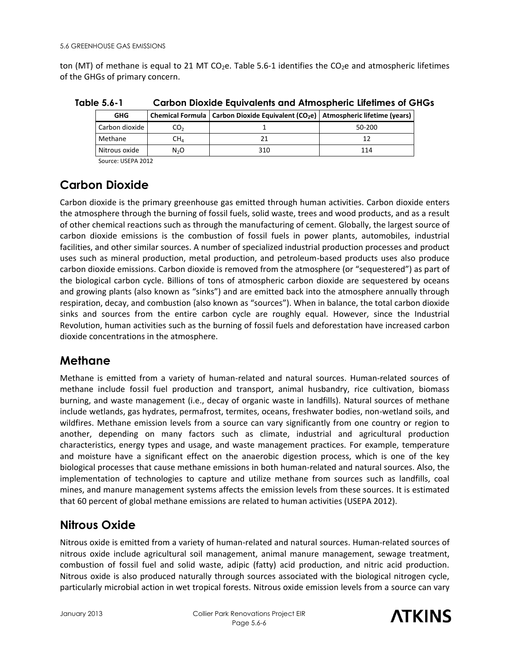ton (MT) of methane is equal to 21 MT CO<sub>2</sub>e. Table 5.6-1 identifies the CO<sub>2</sub>e and atmospheric lifetimes of the GHGs of primary concern.

| <b>GHG</b>     |                  | Chemical Formula   Carbon Dioxide Equivalent (CO <sub>2</sub> e)   Atmospheric lifetime (years) |        |
|----------------|------------------|-------------------------------------------------------------------------------------------------|--------|
| Carbon dioxide | CO,              |                                                                                                 | 50-200 |
| Methane        | $\mathsf{CH}_4$  |                                                                                                 |        |
| Nitrous oxide  | N <sub>2</sub> O | 310                                                                                             | 114    |

**Table 5.6-1 Carbon Dioxide Equivalents and Atmospheric Lifetimes of GHGs** 

**Carbon Dioxide** 

Carbon dioxide is the primary greenhouse gas emitted through human activities. Carbon dioxide enters the atmosphere through the burning of fossil fuels, solid waste, trees and wood products, and as a result of other chemical reactions such as through the manufacturing of cement. Globally, the largest source of carbon dioxide emissions is the combustion of fossil fuels in power plants, automobiles, industrial facilities, and other similar sources. A number of specialized industrial production processes and product uses such as mineral production, metal production, and petroleum-based products uses also produce carbon dioxide emissions. Carbon dioxide is removed from the atmosphere (or "sequestered") as part of the biological carbon cycle. Billions of tons of atmospheric carbon dioxide are sequestered by oceans and growing plants (also known as "sinks") and are emitted back into the atmosphere annually through respiration, decay, and combustion (also known as "sources"). When in balance, the total carbon dioxide sinks and sources from the entire carbon cycle are roughly equal. However, since the Industrial Revolution, human activities such as the burning of fossil fuels and deforestation have increased carbon dioxide concentrations in the atmosphere.

#### **Methane**

Methane is emitted from a variety of human-related and natural sources. Human-related sources of methane include fossil fuel production and transport, animal husbandry, rice cultivation, biomass burning, and waste management (i.e., decay of organic waste in landfills). Natural sources of methane include wetlands, gas hydrates, permafrost, termites, oceans, freshwater bodies, non-wetland soils, and wildfires. Methane emission levels from a source can vary significantly from one country or region to another, depending on many factors such as climate, industrial and agricultural production characteristics, energy types and usage, and waste management practices. For example, temperature and moisture have a significant effect on the anaerobic digestion process, which is one of the key biological processes that cause methane emissions in both human-related and natural sources. Also, the implementation of technologies to capture and utilize methane from sources such as landfills, coal mines, and manure management systems affects the emission levels from these sources. It is estimated that 60 percent of global methane emissions are related to human activities (USEPA 2012).

## **Nitrous Oxide**

Nitrous oxide is emitted from a variety of human-related and natural sources. Human-related sources of nitrous oxide include agricultural soil management, animal manure management, sewage treatment, combustion of fossil fuel and solid waste, adipic (fatty) acid production, and nitric acid production. Nitrous oxide is also produced naturally through sources associated with the biological nitrogen cycle, particularly microbial action in wet tropical forests. Nitrous oxide emission levels from a source can vary

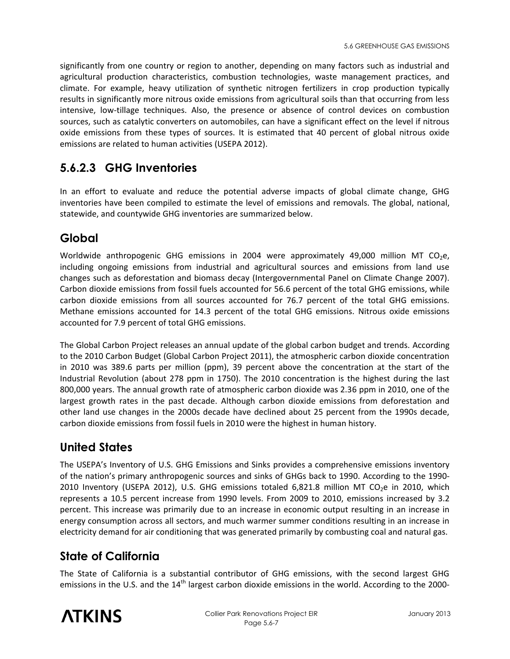significantly from one country or region to another, depending on many factors such as industrial and agricultural production characteristics, combustion technologies, waste management practices, and climate. For example, heavy utilization of synthetic nitrogen fertilizers in crop production typically results in significantly more nitrous oxide emissions from agricultural soils than that occurring from less intensive, low-tillage techniques. Also, the presence or absence of control devices on combustion sources, such as catalytic converters on automobiles, can have a significant effect on the level if nitrous oxide emissions from these types of sources. It is estimated that 40 percent of global nitrous oxide emissions are related to human activities (USEPA 2012).

#### **5.6.2.3 GHG Inventories**

In an effort to evaluate and reduce the potential adverse impacts of global climate change, GHG inventories have been compiled to estimate the level of emissions and removals. The global, national, statewide, and countywide GHG inventories are summarized below.

#### **Global**

Worldwide anthropogenic GHG emissions in 2004 were approximately 49,000 million MT CO<sub>2</sub>e, including ongoing emissions from industrial and agricultural sources and emissions from land use changes such as deforestation and biomass decay (Intergovernmental Panel on Climate Change 2007). Carbon dioxide emissions from fossil fuels accounted for 56.6 percent of the total GHG emissions, while carbon dioxide emissions from all sources accounted for 76.7 percent of the total GHG emissions. Methane emissions accounted for 14.3 percent of the total GHG emissions. Nitrous oxide emissions accounted for 7.9 percent of total GHG emissions.

The Global Carbon Project releases an annual update of the global carbon budget and trends. According to the 2010 Carbon Budget (Global Carbon Project 2011), the atmospheric carbon dioxide concentration in 2010 was 389.6 parts per million (ppm), 39 percent above the concentration at the start of the Industrial Revolution (about 278 ppm in 1750). The 2010 concentration is the highest during the last 800,000 years. The annual growth rate of atmospheric carbon dioxide was 2.36 ppm in 2010, one of the largest growth rates in the past decade. Although carbon dioxide emissions from deforestation and other land use changes in the 2000s decade have declined about 25 percent from the 1990s decade, carbon dioxide emissions from fossil fuels in 2010 were the highest in human history.

#### **United States**

The USEPA's Inventory of U.S. GHG Emissions and Sinks provides a comprehensive emissions inventory of the nation's primary anthropogenic sources and sinks of GHGs back to 1990. According to the 1990- 2010 Inventory (USEPA 2012), U.S. GHG emissions totaled  $6,821.8$  million MT CO<sub>2</sub>e in 2010, which represents a 10.5 percent increase from 1990 levels. From 2009 to 2010, emissions increased by 3.2 percent. This increase was primarily due to an increase in economic output resulting in an increase in energy consumption across all sectors, and much warmer summer conditions resulting in an increase in electricity demand for air conditioning that was generated primarily by combusting coal and natural gas.

#### **State of California**

The State of California is a substantial contributor of GHG emissions, with the second largest GHG emissions in the U.S. and the 14<sup>th</sup> largest carbon dioxide emissions in the world. According to the 2000-

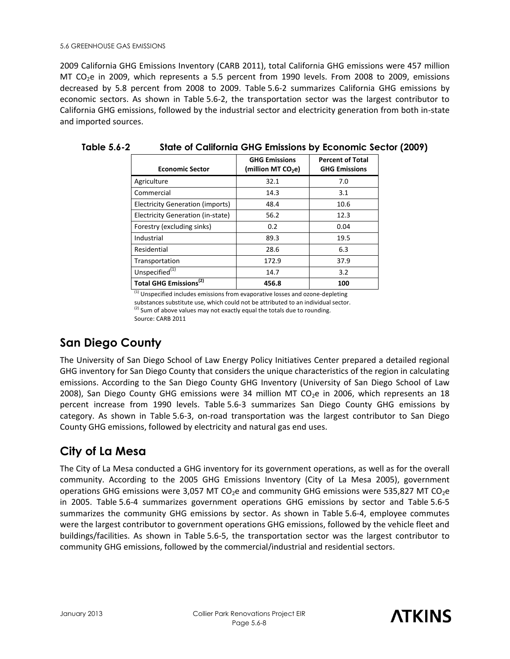2009 California GHG Emissions Inventory (CARB 2011), total California GHG emissions were 457 million MT CO<sub>2</sub>e in 2009, which represents a 5.5 percent from 1990 levels. From 2008 to 2009, emissions decreased by 5.8 percent from 2008 to 2009. Table 5.6-2 summarizes California GHG emissions by economic sectors. As shown in Table 5.6-2, the transportation sector was the largest contributor to California GHG emissions, followed by the industrial sector and electricity generation from both in-state and imported sources.

| <b>Economic Sector</b>                  | <b>GHG Emissions</b><br>(million MT CO <sub>2</sub> e) | <b>Percent of Total</b><br><b>GHG Emissions</b> |
|-----------------------------------------|--------------------------------------------------------|-------------------------------------------------|
| Agriculture                             | 32.1                                                   | 7.0                                             |
| Commercial                              | 14.3                                                   | 3.1                                             |
| <b>Electricity Generation (imports)</b> | 48.4                                                   | 10.6                                            |
| Electricity Generation (in-state)       | 56.2                                                   | 12.3                                            |
| Forestry (excluding sinks)              | 0.2                                                    | 0.04                                            |
| Industrial                              | 89.3                                                   | 19.5                                            |
| Residential                             | 28.6                                                   | 6.3                                             |
| Transportation                          | 172.9                                                  | 37.9                                            |
| Unspecified <sup>(1)</sup>              | 14.7                                                   | 3.2                                             |
| Total GHG Emissions <sup>(2)</sup>      | 456.8                                                  | 100                                             |

**Table 5.6-2 State of California GHG Emissions by Economic Sector (2009)** 

 $<sup>(1)</sup>$  Unspecified includes emissions from evaporative losses and ozone-depleting</sup> substances substitute use, which could not be attributed to an individual sector.  $(2)$  Sum of above values may not exactly equal the totals due to rounding.

Source: CARB 2011

#### **San Diego County**

The University of San Diego School of Law Energy Policy Initiatives Center prepared a detailed regional GHG inventory for San Diego County that considers the unique characteristics of the region in calculating emissions. According to the San Diego County GHG Inventory (University of San Diego School of Law 2008), San Diego County GHG emissions were 34 million MT CO<sub>2</sub>e in 2006, which represents an 18 percent increase from 1990 levels. Table 5.6-3 summarizes San Diego County GHG emissions by category. As shown in Table 5.6-3, on-road transportation was the largest contributor to San Diego County GHG emissions, followed by electricity and natural gas end uses.

#### **City of La Mesa**

The City of La Mesa conducted a GHG inventory for its government operations, as well as for the overall community. According to the 2005 GHG Emissions Inventory (City of La Mesa 2005), government operations GHG emissions were 3,057 MT  $CO<sub>2</sub>e$  and community GHG emissions were 535,827 MT  $CO<sub>2</sub>e$ in 2005. Table 5.6-4 summarizes government operations GHG emissions by sector and Table 5.6-5 summarizes the community GHG emissions by sector. As shown in Table 5.6-4, employee commutes were the largest contributor to government operations GHG emissions, followed by the vehicle fleet and buildings/facilities. As shown in Table 5.6-5, the transportation sector was the largest contributor to community GHG emissions, followed by the commercial/industrial and residential sectors.

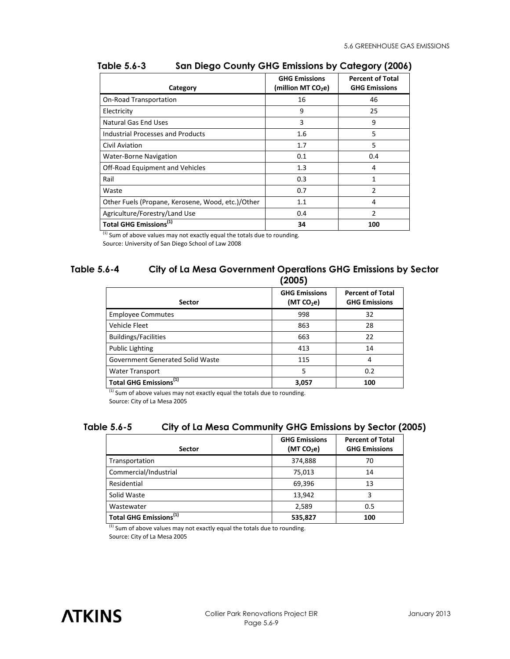| Category                                          | <b>GHG Emissions</b><br>(million MT CO <sub>2</sub> e) | <b>Percent of Total</b><br><b>GHG Emissions</b> |
|---------------------------------------------------|--------------------------------------------------------|-------------------------------------------------|
| On-Road Transportation                            | 16                                                     | 46                                              |
| Electricity                                       | 9                                                      | 25                                              |
| <b>Natural Gas End Uses</b>                       | 3                                                      | 9                                               |
| <b>Industrial Processes and Products</b>          | 1.6                                                    | 5                                               |
| Civil Aviation                                    | 1.7                                                    | 5                                               |
| <b>Water-Borne Navigation</b>                     | 0.1                                                    | 0.4                                             |
| Off-Road Equipment and Vehicles                   | 1.3                                                    | 4                                               |
| Rail                                              | 0.3                                                    | 1                                               |
| Waste                                             | 0.7                                                    | 2                                               |
| Other Fuels (Propane, Kerosene, Wood, etc.)/Other | 1.1                                                    | 4                                               |
| Agriculture/Forestry/Land Use                     | 0.4                                                    | 2                                               |
| Total GHG Emissions <sup>(1)</sup>                | 34                                                     | 100                                             |

#### **Table 5.6-3 San Diego County GHG Emissions by Category (2006)**

 $(1)$  Sum of above values may not exactly equal the totals due to rounding.

Source: University of San Diego School of Law 2008

#### **Table 5.6-4 City of La Mesa Government Operations GHG Emissions by Sector (2005)**

|                                    | ヽ亠)>>                                |                                                 |
|------------------------------------|--------------------------------------|-------------------------------------------------|
| <b>Sector</b>                      | <b>GHG Emissions</b><br>(MT $CO2e$ ) | <b>Percent of Total</b><br><b>GHG Emissions</b> |
| <b>Employee Commutes</b>           | 998                                  | 32                                              |
| Vehicle Fleet                      | 863                                  | 28                                              |
| <b>Buildings/Facilities</b>        | 663                                  | 22                                              |
| <b>Public Lighting</b>             | 413                                  | 14                                              |
| Government Generated Solid Waste   | 115                                  | 4                                               |
| <b>Water Transport</b>             | 5                                    | 0.2                                             |
| Total GHG Emissions <sup>(1)</sup> | 3,057                                | 100                                             |

 $(1)$  Sum of above values may not exactly equal the totals due to rounding. Source: City of La Mesa 2005

#### **Table 5.6-5 City of La Mesa Community GHG Emissions by Sector (2005)**

| <b>Sector</b>                      | <b>GHG Emissions</b><br>(MT CO <sub>2</sub> e) | <b>Percent of Total</b><br><b>GHG Emissions</b> |
|------------------------------------|------------------------------------------------|-------------------------------------------------|
| Transportation                     | 374,888                                        | 70                                              |
| Commercial/Industrial              | 75,013                                         | 14                                              |
| Residential                        | 69,396                                         | 13                                              |
| Solid Waste                        | 13,942                                         | 3                                               |
| Wastewater                         | 2,589                                          | 0.5                                             |
| Total GHG Emissions <sup>(1)</sup> | 535,827                                        | 100                                             |

 $(1)$  Sum of above values may not exactly equal the totals due to rounding. Source: City of La Mesa 2005

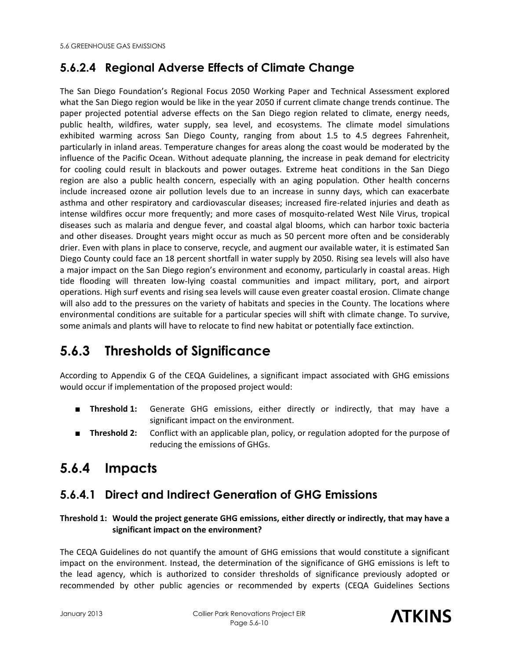## **5.6.2.4 Regional Adverse Effects of Climate Change**

The San Diego Foundation's Regional Focus 2050 Working Paper and Technical Assessment explored what the San Diego region would be like in the year 2050 if current climate change trends continue. The paper projected potential adverse effects on the San Diego region related to climate, energy needs, public health, wildfires, water supply, sea level, and ecosystems. The climate model simulations exhibited warming across San Diego County, ranging from about 1.5 to 4.5 degrees Fahrenheit, particularly in inland areas. Temperature changes for areas along the coast would be moderated by the influence of the Pacific Ocean. Without adequate planning, the increase in peak demand for electricity for cooling could result in blackouts and power outages. Extreme heat conditions in the San Diego region are also a public health concern, especially with an aging population. Other health concerns include increased ozone air pollution levels due to an increase in sunny days, which can exacerbate asthma and other respiratory and cardiovascular diseases; increased fire-related injuries and death as intense wildfires occur more frequently; and more cases of mosquito-related West Nile Virus, tropical diseases such as malaria and dengue fever, and coastal algal blooms, which can harbor toxic bacteria and other diseases. Drought years might occur as much as 50 percent more often and be considerably drier. Even with plans in place to conserve, recycle, and augment our available water, it is estimated San Diego County could face an 18 percent shortfall in water supply by 2050. Rising sea levels will also have a major impact on the San Diego region's environment and economy, particularly in coastal areas. High tide flooding will threaten low-lying coastal communities and impact military, port, and airport operations. High surf events and rising sea levels will cause even greater coastal erosion. Climate change will also add to the pressures on the variety of habitats and species in the County. The locations where environmental conditions are suitable for a particular species will shift with climate change. To survive, some animals and plants will have to relocate to find new habitat or potentially face extinction.

# **5.6.3 Thresholds of Significance**

According to Appendix G of the CEQA Guidelines, a significant impact associated with GHG emissions would occur if implementation of the proposed project would:

- **Threshold 1:** Generate GHG emissions, either directly or indirectly, that may have a significant impact on the environment.
- **Threshold 2:** Conflict with an applicable plan, policy, or regulation adopted for the purpose of reducing the emissions of GHGs.

# **5.6.4 Impacts**

## **5.6.4.1 Direct and Indirect Generation of GHG Emissions**

#### **Threshold 1: Would the project generate GHG emissions, either directly or indirectly, that may have a significant impact on the environment?**

The CEQA Guidelines do not quantify the amount of GHG emissions that would constitute a significant impact on the environment. Instead, the determination of the significance of GHG emissions is left to the lead agency, which is authorized to consider thresholds of significance previously adopted or recommended by other public agencies or recommended by experts (CEQA Guidelines Sections

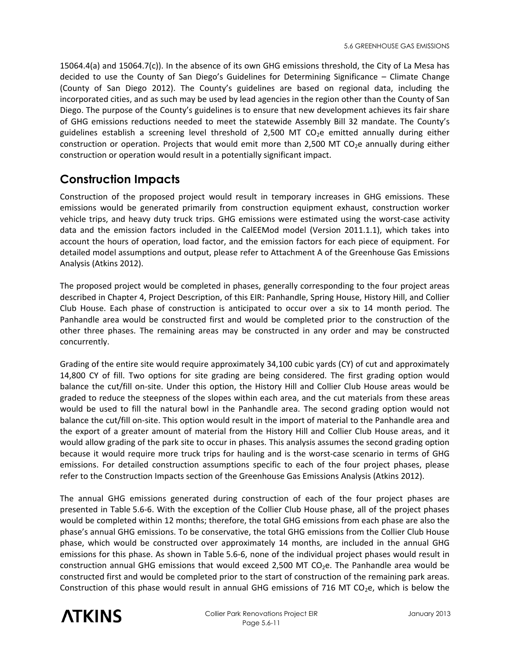15064.4(a) and 15064.7(c)). In the absence of its own GHG emissions threshold, the City of La Mesa has decided to use the County of San Diego's Guidelines for Determining Significance – Climate Change (County of San Diego 2012). The County's guidelines are based on regional data, including the incorporated cities, and as such may be used by lead agencies in the region other than the County of San Diego. The purpose of the County's guidelines is to ensure that new development achieves its fair share of GHG emissions reductions needed to meet the statewide Assembly Bill 32 mandate. The County's guidelines establish a screening level threshold of 2,500 MT  $CO<sub>2</sub>e$  emitted annually during either construction or operation. Projects that would emit more than 2,500 MT CO<sub>2</sub>e annually during either construction or operation would result in a potentially significant impact.

#### **Construction Impacts**

Construction of the proposed project would result in temporary increases in GHG emissions. These emissions would be generated primarily from construction equipment exhaust, construction worker vehicle trips, and heavy duty truck trips. GHG emissions were estimated using the worst-case activity data and the emission factors included in the CalEEMod model (Version 2011.1.1), which takes into account the hours of operation, load factor, and the emission factors for each piece of equipment. For detailed model assumptions and output, please refer to Attachment A of the Greenhouse Gas Emissions Analysis (Atkins 2012).

The proposed project would be completed in phases, generally corresponding to the four project areas described in Chapter 4, Project Description, of this EIR: Panhandle, Spring House, History Hill, and Collier Club House. Each phase of construction is anticipated to occur over a six to 14 month period. The Panhandle area would be constructed first and would be completed prior to the construction of the other three phases. The remaining areas may be constructed in any order and may be constructed concurrently.

Grading of the entire site would require approximately 34,100 cubic yards (CY) of cut and approximately 14,800 CY of fill. Two options for site grading are being considered. The first grading option would balance the cut/fill on-site. Under this option, the History Hill and Collier Club House areas would be graded to reduce the steepness of the slopes within each area, and the cut materials from these areas would be used to fill the natural bowl in the Panhandle area. The second grading option would not balance the cut/fill on-site. This option would result in the import of material to the Panhandle area and the export of a greater amount of material from the History Hill and Collier Club House areas, and it would allow grading of the park site to occur in phases. This analysis assumes the second grading option because it would require more truck trips for hauling and is the worst-case scenario in terms of GHG emissions. For detailed construction assumptions specific to each of the four project phases, please refer to the Construction Impacts section of the Greenhouse Gas Emissions Analysis (Atkins 2012).

The annual GHG emissions generated during construction of each of the four project phases are presented in Table 5.6-6. With the exception of the Collier Club House phase, all of the project phases would be completed within 12 months; therefore, the total GHG emissions from each phase are also the phase's annual GHG emissions. To be conservative, the total GHG emissions from the Collier Club House phase, which would be constructed over approximately 14 months, are included in the annual GHG emissions for this phase. As shown in Table 5.6-6, none of the individual project phases would result in construction annual GHG emissions that would exceed 2,500 MT  $CO<sub>2</sub>e$ . The Panhandle area would be constructed first and would be completed prior to the start of construction of the remaining park areas. Construction of this phase would result in annual GHG emissions of 716 MT  $CO<sub>2</sub>e$ , which is below the

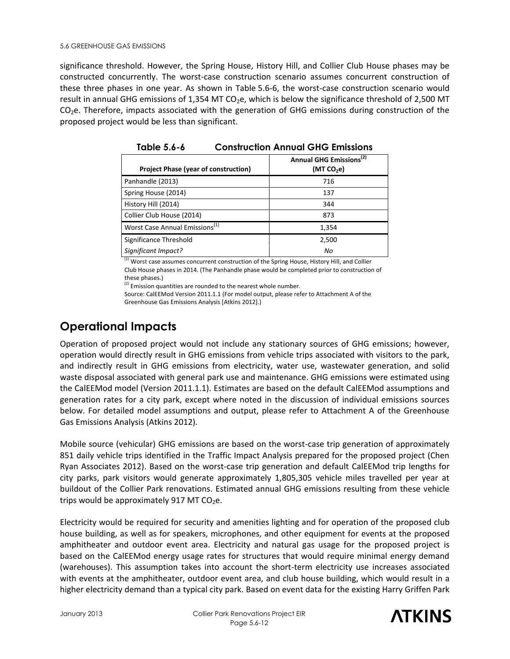significance threshold. However, the Spring House, History Hill, and Collier Club House phases may be constructed concurrently. The worst-case construction scenario assumes concurrent construction of these three phases in one year. As shown in Table 5.6-6, the worst-case construction scenario would result in annual GHG emissions of 1,354 MT CO<sub>2</sub>e, which is below the significance threshold of 2,500 MT  $CO<sub>2</sub>e$ . Therefore, impacts associated with the generation of GHG emissions during construction of the proposed project would be less than significant.

| Project Phase (year of construction)       | Annual GHG Emissions <sup>(2)</sup><br>(MT $CO2e$ ) |
|--------------------------------------------|-----------------------------------------------------|
| Panhandle (2013)                           | 716                                                 |
| Spring House (2014)                        | 137                                                 |
| History Hill (2014)                        | 344                                                 |
| Collier Club House (2014)                  | 873                                                 |
| Worst Case Annual Emissions <sup>(1)</sup> | 1,354                                               |
| Significance Threshold                     | 2,500                                               |
| Significant Impact?                        | No                                                  |

**Table 5.6-6 Construction Annual GHG Emissions** 

<sup>(1)</sup> Worst case assumes concurrent construction of the Spring House, History Hill, and Collier Club House phases in 2014. (The Panhandle phase would be completed prior to construction of these phases.)

 $(2)$  Emission quantities are rounded to the nearest whole number.

Source: CalEEMod Version 2011.1.1 (For model output, please refer to Attachment A of the Greenhouse Gas Emissions Analysis [Atkins 2012].)

### **Operational Impacts**

Operation of proposed project would not include any stationary sources of GHG emissions; however, operation would directly result in GHG emissions from vehicle trips associated with visitors to the park, and indirectly result in GHG emissions from electricity, water use, wastewater generation, and solid waste disposal associated with general park use and maintenance. GHG emissions were estimated using the CalEEMod model (Version 2011.1.1). Estimates are based on the default CalEEMod assumptions and generation rates for a city park, except where noted in the discussion of individual emissions sources below. For detailed model assumptions and output, please refer to Attachment A of the Greenhouse Gas Emissions Analysis (Atkins 2012).

Mobile source (vehicular) GHG emissions are based on the worst-case trip generation of approximately 851 daily vehicle trips identified in the Traffic Impact Analysis prepared for the proposed project (Chen Ryan Associates 2012). Based on the worst-case trip generation and default CalEEMod trip lengths for city parks, park visitors would generate approximately 1,805,305 vehicle miles travelled per year at buildout of the Collier Park renovations. Estimated annual GHG emissions resulting from these vehicle trips would be approximately 917 MT  $CO<sub>2</sub>e$ .

Electricity would be required for security and amenities lighting and for operation of the proposed club house building, as well as for speakers, microphones, and other equipment for events at the proposed amphitheater and outdoor event area. Electricity and natural gas usage for the proposed project is based on the CalEEMod energy usage rates for structures that would require minimal energy demand (warehouses). This assumption takes into account the short-term electricity use increases associated with events at the amphitheater, outdoor event area, and club house building, which would result in a higher electricity demand than a typical city park. Based on event data for the existing Harry Griffen Park

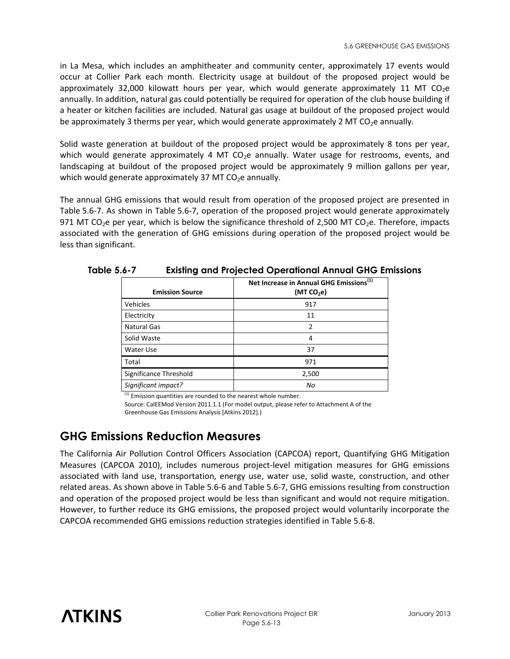in La Mesa, which includes an amphitheater and community center, approximately 17 events would occur at Collier Park each month. Electricity usage at buildout of the proposed project would be approximately 32,000 kilowatt hours per year, which would generate approximately 11 MT CO<sub>2</sub>e annually. In addition, natural gas could potentially be required for operation of the club house building if a heater or kitchen facilities are included. Natural gas usage at buildout of the proposed project would be approximately 3 therms per year, which would generate approximately 2 MT  $CO<sub>2</sub>e$  annually.

Solid waste generation at buildout of the proposed project would be approximately 8 tons per year, which would generate approximately 4 MT  $CO<sub>2</sub>e$  annually. Water usage for restrooms, events, and landscaping at buildout of the proposed project would be approximately 9 million gallons per year, which would generate approximately 37 MT  $CO<sub>2</sub>e$  annually.

The annual GHG emissions that would result from operation of the proposed project are presented in Table 5.6-7. As shown in Table 5.6-7, operation of the proposed project would generate approximately 971 MT CO<sub>2</sub>e per year, which is below the significance threshold of 2,500 MT CO<sub>2</sub>e. Therefore, impacts associated with the generation of GHG emissions during operation of the proposed project would be less than significant.

| <b>Emission Source</b> | Net Increase in Annual GHG Emissions <sup>(1)</sup><br>(MT $CO2e$ ) |  |
|------------------------|---------------------------------------------------------------------|--|
| Vehicles               | 917                                                                 |  |
| Electricity            | 11                                                                  |  |
| <b>Natural Gas</b>     | 2                                                                   |  |
| Solid Waste            | 4                                                                   |  |
| Water Use              | 37                                                                  |  |
| Total                  | 971                                                                 |  |
| Significance Threshold | 2,500                                                               |  |
| Significant impact?    | Nο                                                                  |  |

**Table 5.6-7 Existing and Projected Operational Annual GHG Emissions** 

 $(1)$  Emission quantities are rounded to the nearest whole number.

Source: CalEEMod Version 2011.1.1 (For model output, please refer to Attachment A of the Greenhouse Gas Emissions Analysis [Atkins 2012].)

#### **GHG Emissions Reduction Measures**

The California Air Pollution Control Officers Association (CAPCOA) report, Quantifying GHG Mitigation Measures (CAPCOA 2010), includes numerous project-level mitigation measures for GHG emissions associated with land use, transportation, energy use, water use, solid waste, construction, and other related areas. As shown above in Table 5.6-6 and Table 5.6-7, GHG emissions resulting from construction and operation of the proposed project would be less than significant and would not require mitigation. However, to further reduce its GHG emissions, the proposed project would voluntarily incorporate the CAPCOA recommended GHG emissions reduction strategies identified in Table 5.6-8.

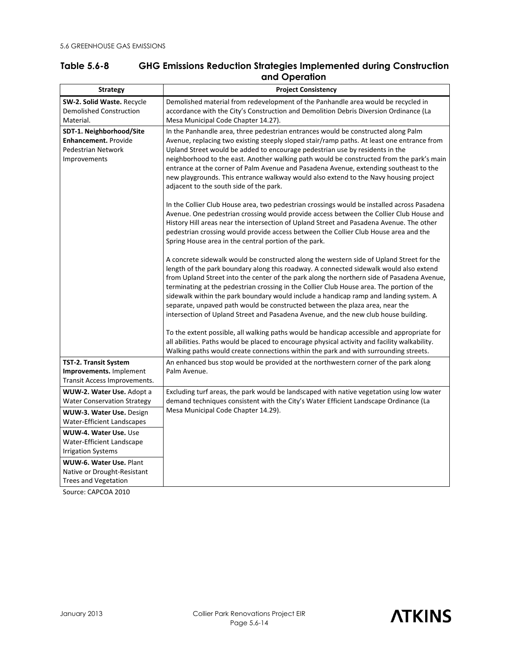| Table 5.6-8 | <b>GHG Emissions Reduction Strategies Implemented during Construction</b> |
|-------------|---------------------------------------------------------------------------|
|             | and Operation                                                             |

| <b>Strategy</b>                                                                               | <b>Project Consistency</b>                                                                                                                                                                                                                                                                                                                                                                                                                                                                                                                                                                                                                    |  |
|-----------------------------------------------------------------------------------------------|-----------------------------------------------------------------------------------------------------------------------------------------------------------------------------------------------------------------------------------------------------------------------------------------------------------------------------------------------------------------------------------------------------------------------------------------------------------------------------------------------------------------------------------------------------------------------------------------------------------------------------------------------|--|
| <b>SW-2. Solid Waste. Recycle</b><br><b>Demolished Construction</b>                           | Demolished material from redevelopment of the Panhandle area would be recycled in<br>accordance with the City's Construction and Demolition Debris Diversion Ordinance (La                                                                                                                                                                                                                                                                                                                                                                                                                                                                    |  |
| Material.                                                                                     | Mesa Municipal Code Chapter 14.27).                                                                                                                                                                                                                                                                                                                                                                                                                                                                                                                                                                                                           |  |
| SDT-1. Neighborhood/Site<br><b>Enhancement.</b> Provide<br>Pedestrian Network<br>Improvements | In the Panhandle area, three pedestrian entrances would be constructed along Palm<br>Avenue, replacing two existing steeply sloped stair/ramp paths. At least one entrance from<br>Upland Street would be added to encourage pedestrian use by residents in the<br>neighborhood to the east. Another walking path would be constructed from the park's main                                                                                                                                                                                                                                                                                   |  |
|                                                                                               | entrance at the corner of Palm Avenue and Pasadena Avenue, extending southeast to the<br>new playgrounds. This entrance walkway would also extend to the Navy housing project<br>adjacent to the south side of the park.                                                                                                                                                                                                                                                                                                                                                                                                                      |  |
|                                                                                               | In the Collier Club House area, two pedestrian crossings would be installed across Pasadena<br>Avenue. One pedestrian crossing would provide access between the Collier Club House and<br>History Hill areas near the intersection of Upland Street and Pasadena Avenue. The other<br>pedestrian crossing would provide access between the Collier Club House area and the<br>Spring House area in the central portion of the park.                                                                                                                                                                                                           |  |
|                                                                                               | A concrete sidewalk would be constructed along the western side of Upland Street for the<br>length of the park boundary along this roadway. A connected sidewalk would also extend<br>from Upland Street into the center of the park along the northern side of Pasadena Avenue,<br>terminating at the pedestrian crossing in the Collier Club House area. The portion of the<br>sidewalk within the park boundary would include a handicap ramp and landing system. A<br>separate, unpaved path would be constructed between the plaza area, near the<br>intersection of Upland Street and Pasadena Avenue, and the new club house building. |  |
|                                                                                               | To the extent possible, all walking paths would be handicap accessible and appropriate for<br>all abilities. Paths would be placed to encourage physical activity and facility walkability.<br>Walking paths would create connections within the park and with surrounding streets.                                                                                                                                                                                                                                                                                                                                                           |  |
| <b>TST-2. Transit System</b><br>Improvements. Implement<br>Transit Access Improvements.       | An enhanced bus stop would be provided at the northwestern corner of the park along<br>Palm Avenue.                                                                                                                                                                                                                                                                                                                                                                                                                                                                                                                                           |  |
| WUW-2. Water Use. Adopt a<br><b>Water Conservation Strategy</b>                               | Excluding turf areas, the park would be landscaped with native vegetation using low water<br>demand techniques consistent with the City's Water Efficient Landscape Ordinance (La                                                                                                                                                                                                                                                                                                                                                                                                                                                             |  |
| <b>WUW-3. Water Use. Design</b><br><b>Water-Efficient Landscapes</b>                          | Mesa Municipal Code Chapter 14.29).                                                                                                                                                                                                                                                                                                                                                                                                                                                                                                                                                                                                           |  |
| WUW-4. Water Use. Use<br>Water-Efficient Landscape<br><b>Irrigation Systems</b>               |                                                                                                                                                                                                                                                                                                                                                                                                                                                                                                                                                                                                                                               |  |
| WUW-6. Water Use. Plant<br>Native or Drought-Resistant<br>Trees and Vegetation                |                                                                                                                                                                                                                                                                                                                                                                                                                                                                                                                                                                                                                                               |  |

Source: CAPCOA 2010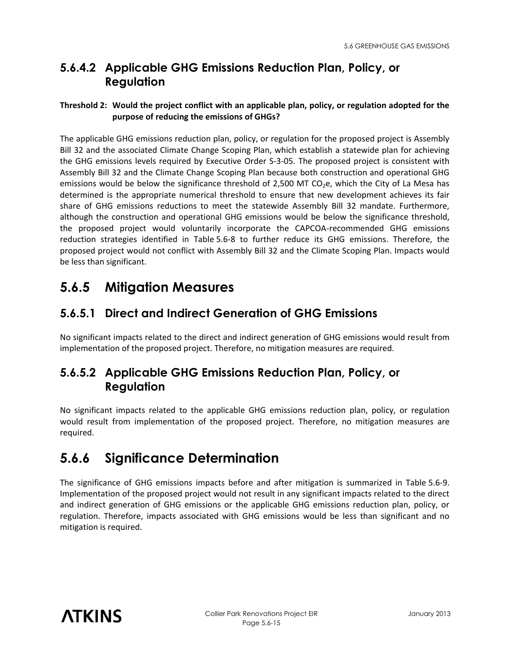### **5.6.4.2 Applicable GHG Emissions Reduction Plan, Policy, or Regulation**

#### **Threshold 2: Would the project conflict with an applicable plan, policy, or regulation adopted for the purpose of reducing the emissions of GHGs?**

The applicable GHG emissions reduction plan, policy, or regulation for the proposed project is Assembly Bill 32 and the associated Climate Change Scoping Plan, which establish a statewide plan for achieving the GHG emissions levels required by Executive Order S-3-05. The proposed project is consistent with Assembly Bill 32 and the Climate Change Scoping Plan because both construction and operational GHG emissions would be below the significance threshold of 2,500 MT CO<sub>2</sub>e, which the City of La Mesa has determined is the appropriate numerical threshold to ensure that new development achieves its fair share of GHG emissions reductions to meet the statewide Assembly Bill 32 mandate. Furthermore, although the construction and operational GHG emissions would be below the significance threshold, the proposed project would voluntarily incorporate the CAPCOA-recommended GHG emissions reduction strategies identified in Table 5.6-8 to further reduce its GHG emissions. Therefore, the proposed project would not conflict with Assembly Bill 32 and the Climate Scoping Plan. Impacts would be less than significant.

# **5.6.5 Mitigation Measures**

#### **5.6.5.1 Direct and Indirect Generation of GHG Emissions**

No significant impacts related to the direct and indirect generation of GHG emissions would result from implementation of the proposed project. Therefore, no mitigation measures are required.

#### **5.6.5.2 Applicable GHG Emissions Reduction Plan, Policy, or Regulation**

No significant impacts related to the applicable GHG emissions reduction plan, policy, or regulation would result from implementation of the proposed project. Therefore, no mitigation measures are required.

## **5.6.6 Significance Determination**

The significance of GHG emissions impacts before and after mitigation is summarized in Table 5.6-9. Implementation of the proposed project would not result in any significant impacts related to the direct and indirect generation of GHG emissions or the applicable GHG emissions reduction plan, policy, or regulation. Therefore, impacts associated with GHG emissions would be less than significant and no mitigation is required.